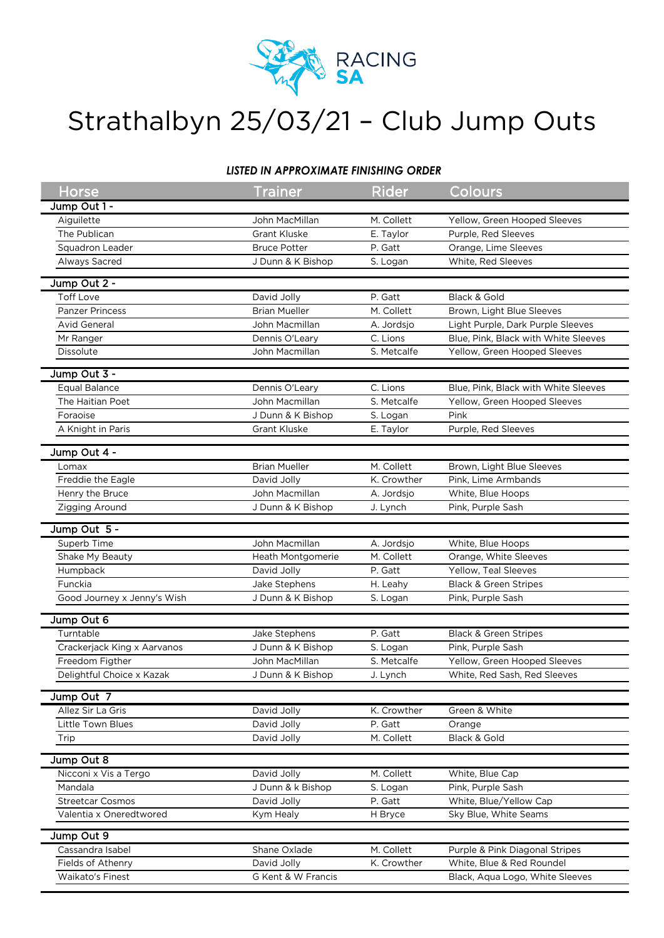

## Strathalbyn 25/03/21 – Club Jump Outs

## *LISTED IN APPROXIMATE FINISHING ORDER*

| <b>Horse</b>                | <b>Trainer</b>           | <b>Rider</b> | Colours                              |
|-----------------------------|--------------------------|--------------|--------------------------------------|
| Jump Out 1 -                |                          |              |                                      |
| Aiguilette                  | John MacMillan           | M. Collett   | Yellow, Green Hooped Sleeves         |
| The Publican                | <b>Grant Kluske</b>      | E. Taylor    | Purple, Red Sleeves                  |
| Squadron Leader             | <b>Bruce Potter</b>      | P. Gatt      | Orange, Lime Sleeves                 |
| Always Sacred               | J Dunn & K Bishop        | S. Logan     | White, Red Sleeves                   |
|                             |                          |              |                                      |
| Jump Out 2 -                |                          |              |                                      |
| <b>Toff Love</b>            | David Jolly              | P. Gatt      | Black & Gold                         |
| <b>Panzer Princess</b>      | <b>Brian Mueller</b>     | M. Collett   | Brown, Light Blue Sleeves            |
| <b>Avid General</b>         | John Macmillan           | A. Jordsjo   | Light Purple, Dark Purple Sleeves    |
| Mr Ranger                   | Dennis O'Leary           | C. Lions     | Blue, Pink, Black with White Sleeves |
| Dissolute                   | John Macmillan           | S. Metcalfe  | Yellow, Green Hooped Sleeves         |
| Jump Out 3 -                |                          |              |                                      |
| <b>Equal Balance</b>        | Dennis O'Leary           | C. Lions     | Blue, Pink, Black with White Sleeves |
| The Haitian Poet            | John Macmillan           | S. Metcalfe  | Yellow, Green Hooped Sleeves         |
| Foraoise                    | J Dunn & K Bishop        | S. Logan     | Pink                                 |
| A Knight in Paris           | <b>Grant Kluske</b>      | E. Taylor    | Purple, Red Sleeves                  |
|                             |                          |              |                                      |
| Jump Out 4 -                |                          |              |                                      |
| Lomax                       | <b>Brian Mueller</b>     | M. Collett   | Brown, Light Blue Sleeves            |
| Freddie the Eagle           | David Jolly              | K. Crowther  | Pink, Lime Armbands                  |
| Henry the Bruce             | John Macmillan           | A. Jordsjo   | White, Blue Hoops                    |
| Zigging Around              | J Dunn & K Bishop        | J. Lynch     | Pink, Purple Sash                    |
|                             |                          |              |                                      |
| Jump Out 5 -                |                          |              |                                      |
| Superb Time                 | John Macmillan           | A. Jordsjo   | White, Blue Hoops                    |
| Shake My Beauty             | <b>Heath Montgomerie</b> | M. Collett   | Orange, White Sleeves                |
| Humpback                    | David Jolly              | P. Gatt      | Yellow, Teal Sleeves                 |
| Funckia                     | Jake Stephens            | H. Leahy     | <b>Black &amp; Green Stripes</b>     |
| Good Journey x Jenny's Wish | J Dunn & K Bishop        | S. Logan     | Pink, Purple Sash                    |
| Jump Out 6                  |                          |              |                                      |
| Turntable                   | Jake Stephens            | P. Gatt      | <b>Black &amp; Green Stripes</b>     |
| Crackerjack King x Aarvanos | J Dunn & K Bishop        | S. Logan     | Pink, Purple Sash                    |
| Freedom Figther             | John MacMillan           | S. Metcalfe  | Yellow, Green Hooped Sleeves         |
| Delightful Choice x Kazak   | J Dunn & K Bishop        | J. Lynch     | White, Red Sash, Red Sleeves         |
|                             |                          |              |                                      |
| Jump Out 7                  |                          |              |                                      |
| Allez Sir La Gris           | David Jolly              | K. Crowther  | Green & White                        |
| Little Town Blues           | David Jolly              | P. Gatt      | Orange                               |
| Trip                        | David Jolly              | M. Collett   | Black & Gold                         |
|                             |                          |              |                                      |
| Jump Out 8                  |                          |              |                                      |
| Nicconi x Vis a Tergo       | David Jolly              | M. Collett   | White, Blue Cap                      |
| Mandala                     | J Dunn & k Bishop        | S. Logan     | Pink, Purple Sash                    |
| <b>Streetcar Cosmos</b>     | David Jolly              | P. Gatt      | White, Blue/Yellow Cap               |
| Valentia x Oneredtwored     | Kym Healy                | H Bryce      | Sky Blue, White Seams                |
| Jump Out 9                  |                          |              |                                      |
| Cassandra Isabel            | Shane Oxlade             | M. Collett   | Purple & Pink Diagonal Stripes       |
| Fields of Athenry           | David Jolly              | K. Crowther  | White, Blue & Red Roundel            |
| <b>Waikato's Finest</b>     | G Kent & W Francis       |              | Black, Aqua Logo, White Sleeves      |
|                             |                          |              |                                      |